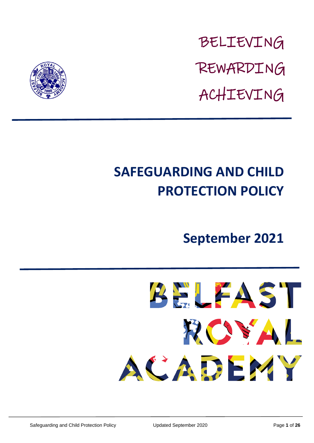BELIEVING REWARDING ACHIEVING



# **SAFEGUARDING AND CHILD PROTECTION POLICY**

# **September 2021**

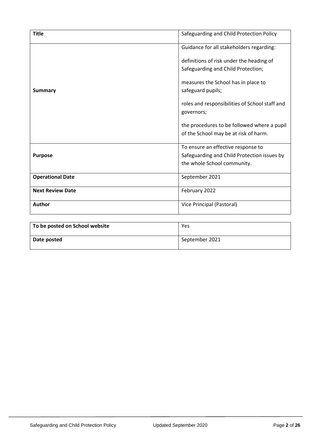| <b>Title</b>            | Safeguarding and Child Protection Policy       |  |  |
|-------------------------|------------------------------------------------|--|--|
|                         | Guidance for all stakeholders regarding:       |  |  |
|                         | definitions of risk under the heading of       |  |  |
|                         | Safeguarding and Child Protection;             |  |  |
| <b>Summary</b>          | measures the School has in place to            |  |  |
|                         | safeguard pupils;                              |  |  |
|                         | roles and responsibilities of School staff and |  |  |
|                         | governors;                                     |  |  |
|                         | the procedures to be followed where a pupil    |  |  |
|                         | of the School may be at risk of harm.          |  |  |
|                         | To ensure an effective response to             |  |  |
| <b>Purpose</b>          | Safeguarding and Child Protection issues by    |  |  |
|                         | the whole School community.                    |  |  |
| <b>Operational Date</b> | September 2021                                 |  |  |
| <b>Next Review Date</b> | February 2022                                  |  |  |
| Author                  | Vice Principal (Pastoral)                      |  |  |

| To be posted on School website | Yes            |
|--------------------------------|----------------|
| Date posted                    | September 2021 |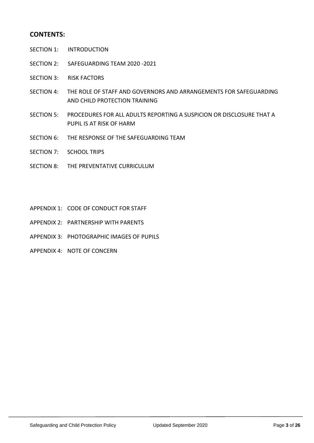#### **CONTENTS:**

- SECTION 1: INTRODUCTION
- SECTION 2: SAFEGUARDING TEAM 2020 -2021
- SECTION 3: RISK FACTORS
- SECTION 4: THE ROLE OF STAFF AND GOVERNORS AND ARRANGEMENTS FOR SAFEGUARDING AND CHILD PROTECTION TRAINING
- SECTION 5: PROCEDURES FOR ALL ADULTS REPORTING A SUSPICION OR DISCLOSURE THAT A PUPIL IS AT RISK OF HARM
- SECTION 6: THE RESPONSE OF THE SAFEGUARDING TEAM
- SECTION 7: SCHOOL TRIPS
- SECTION 8: THE PREVENTATIVE CURRICULUM
- APPENDIX 1: CODE OF CONDUCT FOR STAFF
- APPENDIX 2: PARTNERSHIP WITH PARENTS
- APPENDIX 3: PHOTOGRAPHIC IMAGES OF PUPILS
- APPENDIX 4: NOTE OF CONCERN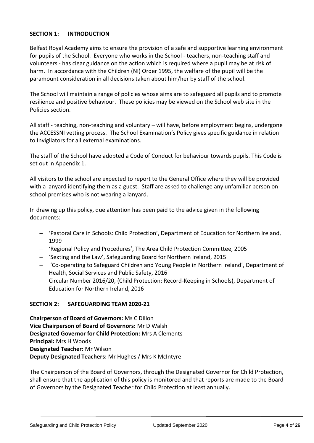#### **SECTION 1: INTRODUCTION**

Belfast Royal Academy aims to ensure the provision of a safe and supportive learning environment for pupils of the School. Everyone who works in the School - teachers, non-teaching staff and volunteers - has clear guidance on the action which is required where a pupil may be at risk of harm. In accordance with the Children (NI) Order 1995, the welfare of the pupil will be the paramount consideration in all decisions taken about him/her by staff of the school.

The School will maintain a range of policies whose aims are to safeguard all pupils and to promote resilience and positive behaviour. These policies may be viewed on the School web site in the Policies section.

All staff - teaching, non-teaching and voluntary – will have, before employment begins, undergone the ACCESSNI vetting process. The School Examination's Policy gives specific guidance in relation to Invigilators for all external examinations.

The staff of the School have adopted a Code of Conduct for behaviour towards pupils. This Code is set out in Appendix 1.

All visitors to the school are expected to report to the General Office where they will be provided with a lanyard identifying them as a guest. Staff are asked to challenge any unfamiliar person on school premises who is not wearing a lanyard.

In drawing up this policy, due attention has been paid to the advice given in the following documents:

- 'Pastoral Care in Schools: Child Protection', Department of Education for Northern Ireland, 1999
- 'Regional Policy and Procedures', The Area Child Protection Committee, 2005
- 'Sexting and the Law', Safeguarding Board for Northern Ireland, 2015
- 'Co-operating to Safeguard Children and Young People in Northern Ireland', Department of Health, Social Services and Public Safety, 2016
- Circular Number 2016/20, (Child Protection: Record-Keeping in Schools), Department of Education for Northern Ireland, 2016

#### **SECTION 2: SAFEGUARDING TEAM 2020-21**

**Chairperson of Board of Governors:** Ms C Dillon **Vice Chairperson of Board of Governors:** Mr D Walsh **Designated Governor for Child Protection:** Mrs A Clements **Principal:** Mrs H Woods **Designated Teacher:** Mr Wilson **Deputy Designated Teachers:** Mr Hughes / Mrs K McIntyre

The Chairperson of the Board of Governors, through the Designated Governor for Child Protection, shall ensure that the application of this policy is monitored and that reports are made to the Board of Governors by the Designated Teacher for Child Protection at least annually.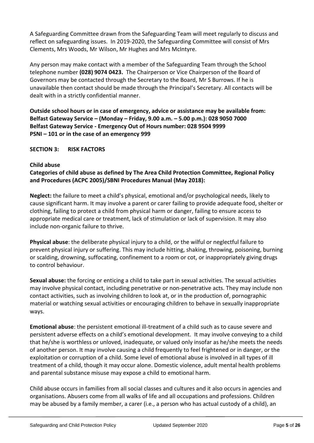A Safeguarding Committee drawn from the Safeguarding Team will meet regularly to discuss and reflect on safeguarding issues. In 2019-2020, the Safeguarding Committee will consist of Mrs Clements, Mrs Woods, Mr Wilson, Mr Hughes and Mrs McIntyre.

Any person may make contact with a member of the Safeguarding Team through the School telephone number **(028) 9074 0423.** The Chairperson or Vice Chairperson of the Board of Governors may be contacted through the Secretary to the Board, Mr S Burrows. If he is unavailable then contact should be made through the Principal's Secretary. All contacts will be dealt with in a strictly confidential manner.

**Outside school hours or in case of emergency, advice or assistance may be available from: Belfast Gateway Service – (Monday – Friday, 9.00 a.m. – 5.00 p.m.): 028 9050 7000 Belfast Gateway Service - Emergency Out of Hours number: 028 9504 9999 PSNI – 101 or in the case of an emergency 999**

**SECTION 3: RISK FACTORS**

#### **Child abuse**

#### **Categories of child abuse as defined by The Area Child Protection Committee, Regional Policy and Procedures (ACPC 2005)/SBNI Procedures Manual (May 2018):**

**Neglect:** the failure to meet a child's physical, emotional and/or psychological needs, likely to cause significant harm. It may involve a parent or carer failing to provide adequate food, shelter or clothing, failing to protect a child from physical harm or danger, failing to ensure access to appropriate medical care or treatment, lack of stimulation or lack of supervision. It may also include non-organic failure to thrive.

**Physical abuse**: the deliberate physical injury to a child, or the wilful or neglectful failure to prevent physical injury or suffering. This may include hitting, shaking, throwing, poisoning, burning or scalding, drowning, suffocating, confinement to a room or cot, or inappropriately giving drugs to control behaviour.

**Sexual abuse:** the forcing or enticing a child to take part in sexual activities. The sexual activities may involve physical contact, including penetrative or non-penetrative acts. They may include non contact activities, such as involving children to look at, or in the production of, pornographic material or watching sexual activities or encouraging children to behave in sexually inappropriate ways.

**Emotional abuse**: the persistent emotional ill-treatment of a child such as to cause severe and persistent adverse effects on a child's emotional development. It may involve conveying to a child that he/she is worthless or unloved, inadequate, or valued only insofar as he/she meets the needs of another person. It may involve causing a child frequently to feel frightened or in danger, or the exploitation or corruption of a child. Some level of emotional abuse is involved in all types of ill treatment of a child, though it may occur alone. Domestic violence, adult mental health problems and parental substance misuse may expose a child to emotional harm.

Child abuse occurs in families from all social classes and cultures and it also occurs in agencies and organisations. Abusers come from all walks of life and all occupations and professions. Children may be abused by a family member, a carer (i.e., a person who has actual custody of a child), an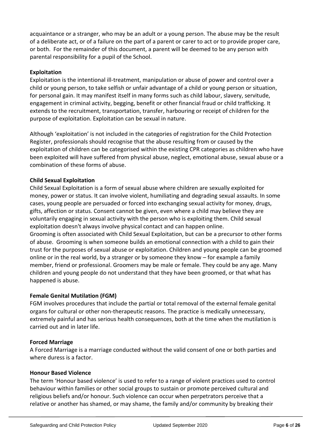acquaintance or a stranger, who may be an adult or a young person. The abuse may be the result of a deliberate act, or of a failure on the part of a parent or carer to act or to provide proper care, or both. For the remainder of this document, a parent will be deemed to be any person with parental responsibility for a pupil of the School.

#### **Exploitation**

Exploitation is the intentional ill-treatment, manipulation or abuse of power and control over a child or young person, to take selfish or unfair advantage of a child or young person or situation, for personal gain. It may manifest itself in many forms such as child labour, slavery, servitude, engagement in criminal activity, begging, benefit or other financial fraud or child trafficking. It extends to the recruitment, transportation, transfer, harbouring or receipt of children for the purpose of exploitation. Exploitation can be sexual in nature.

Although 'exploitation' is not included in the categories of registration for the Child Protection Register, professionals should recognise that the abuse resulting from or caused by the exploitation of children can be categorised within the existing CPR categories as children who have been exploited will have suffered from physical abuse, neglect, emotional abuse, sexual abuse or a combination of these forms of abuse.

#### **Child Sexual Exploitation**

Child Sexual Exploitation is a form of sexual abuse where children are sexually exploited for money, power or status. It can involve violent, humiliating and degrading sexual assaults. In some cases, young people are persuaded or forced into exchanging sexual activity for money, drugs, gifts, affection or status. Consent cannot be given, even where a child may believe they are voluntarily engaging in sexual activity with the person who is exploiting them. Child sexual exploitation doesn't always involve physical contact and can happen online.

Grooming is often associated with Child Sexual Exploitation, but can be a precursor to other forms of abuse. Grooming is when someone builds an emotional connection with a child to gain their trust for the purposes of sexual abuse or exploitation. Children and young people can be groomed online or in the real world, by a stranger or by someone they know – for example a family member, friend or professional. Groomers may be male or female. They could be any age. Many children and young people do not understand that they have been groomed, or that what has happened is abuse.

#### **Female Genital Mutilation (FGM)**

FGM involves procedures that include the partial or total removal of the external female genital organs for cultural or other non-therapeutic reasons. The practice is medically unnecessary, extremely painful and has serious health consequences, both at the time when the mutilation is carried out and in later life.

#### **Forced Marriage**

A Forced Marriage is a marriage conducted without the valid consent of one or both parties and where duress is a factor.

#### **Honour Based Violence**

The term 'Honour based violence' is used to refer to a range of violent practices used to control behaviour within families or other social groups to sustain or promote perceived cultural and religious beliefs and/or honour. Such violence can occur when perpetrators perceive that a relative or another has shamed, or may shame, the family and/or community by breaking their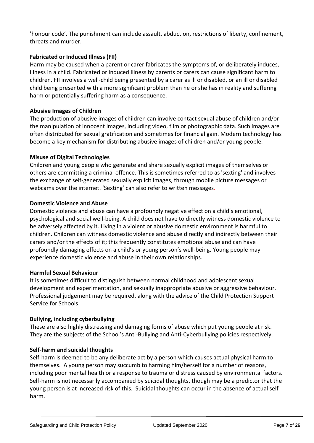'honour code'. The punishment can include assault, abduction, restrictions of liberty, confinement, threats and murder.

#### **Fabricated or Induced Illness (FII)**

Harm may be caused when a parent or carer fabricates the symptoms of, or deliberately induces, illness in a child. Fabricated or induced illness by parents or carers can cause significant harm to children. FII involves a well-child being presented by a carer as ill or disabled, or an ill or disabled child being presented with a more significant problem than he or she has in reality and suffering harm or potentially suffering harm as a consequence.

#### **Abusive Images of Children**

The production of abusive images of children can involve contact sexual abuse of children and/or the manipulation of innocent images, including video, film or photographic data. Such images are often distributed for sexual gratification and sometimes for financial gain. Modern technology has become a key mechanism for distributing abusive images of children and/or young people.

#### **Misuse of Digital Technologies**

Children and young people who generate and share sexually explicit images of themselves or others are committing a criminal offence. This is sometimes referred to as 'sexting' and involves the exchange of self-generated sexually explicit images, through mobile picture messages or webcams over the internet. 'Sexting' can also refer to written messages.

#### **Domestic Violence and Abuse**

Domestic violence and abuse can have a profoundly negative effect on a child's emotional, psychological and social well-being. A child does not have to directly witness domestic violence to be adversely affected by it. Living in a violent or abusive domestic environment is harmful to children. Children can witness domestic violence and abuse directly and indirectly between their carers and/or the effects of it; this frequently constitutes emotional abuse and can have profoundly damaging effects on a child's or young person's well-being. Young people may experience domestic violence and abuse in their own relationships.

#### **Harmful Sexual Behaviour**

It is sometimes difficult to distinguish between normal childhood and adolescent sexual development and experimentation, and sexually inappropriate abusive or aggressive behaviour. Professional judgement may be required, along with the advice of the Child Protection Support Service for Schools.

#### **Bullying, including cyberbullying**

These are also highly distressing and damaging forms of abuse which put young people at risk. They are the subjects of the School's Anti-Bullying and Anti-Cyberbullying policies respectively.

#### **Self-harm and suicidal thoughts**

Self-harm is deemed to be any deliberate act by a person which causes actual physical harm to themselves. A young person may succumb to harming him/herself for a number of reasons, including poor mental health or a response to trauma or distress caused by environmental factors. Self-harm is not necessarily accompanied by suicidal thoughts, though may be a predictor that the young person is at increased risk of this. Suicidal thoughts can occur in the absence of actual selfharm.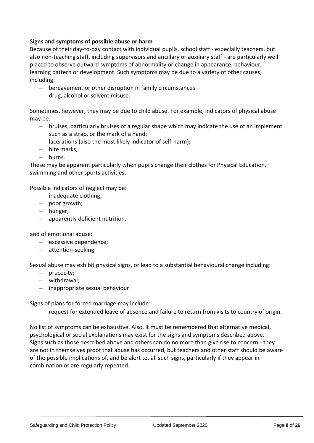#### **Signs and symptoms of possible abuse or harm**

Because of their day-to-day contact with individual pupils, school staff - especially teachers, but also non-teaching staff, including supervisors and ancillary or auxiliary staff - are particularly well placed to observe outward symptoms of abnormality or change in appearance, behaviour, learning pattern or development. Such symptoms may be due to a variety of other causes, including:

- bereavement or other disruption in family circumstances
- drug, alcohol or solvent misuse.

Sometimes, however, they may be due to child abuse. For example, indicators of physical abuse may be:

- bruises, particularly bruises of a regular shape which may indicate the use of an implement such as a strap, or the mark of a hand;
- lacerations (also the most likely indicator of self-harm);
- bite marks;
- burns.

These may be apparent particularly when pupils change their clothes for Physical Education, swimming and other sports activities.

Possible indicators of neglect may be:

- inadequate clothing;
- poor growth;
- hunger;
- apparently deficient nutrition.

and of emotional abuse:

- excessive dependence;
- attention-seeking.

Sexual abuse may exhibit physical signs, or lead to a substantial behavioural change including:

- precocity;
- withdrawal;
- inappropriate sexual behaviour.

Signs of plans for forced marriage may include:

- request for extended leave of absence and failure to return from visits to country of origin.

No list of symptoms can be exhaustive. Also, it must be remembered that alternative medical, psychological or social explanations may exist for the signs and symptoms described above. Signs such as those described above and others can do no more than give rise to concern - they are not in themselves proof that abuse has occurred, but teachers and other staff should be aware of the possible implications of, and be alert to, all such signs, particularly if they appear in combination or are regularly repeated.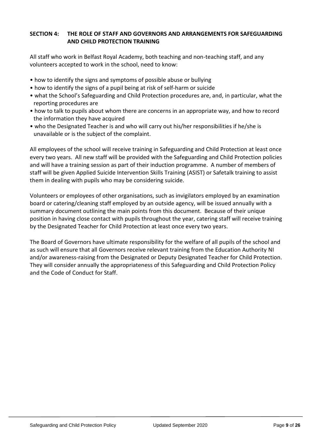#### **SECTION 4: THE ROLE OF STAFF AND GOVERNORS AND ARRANGEMENTS FOR SAFEGUARDING AND CHILD PROTECTION TRAINING**

All staff who work in Belfast Royal Academy, both teaching and non-teaching staff, and any volunteers accepted to work in the school, need to know:

- how to identify the signs and symptoms of possible abuse or bullying
- how to identify the signs of a pupil being at risk of self-harm or suicide
- what the School's Safeguarding and Child Protection procedures are, and, in particular, what the reporting procedures are
- how to talk to pupils about whom there are concerns in an appropriate way, and how to record the information they have acquired
- who the Designated Teacher is and who will carry out his/her responsibilities if he/she is unavailable or is the subject of the complaint.

All employees of the school will receive training in Safeguarding and Child Protection at least once every two years. All new staff will be provided with the Safeguarding and Child Protection policies and will have a training session as part of their induction programme. A number of members of staff will be given Applied Suicide Intervention Skills Training (ASIST) or Safetalk training to assist them in dealing with pupils who may be considering suicide.

Volunteers or employees of other organisations, such as invigilators employed by an examination board or catering/cleaning staff employed by an outside agency, will be issued annually with a summary document outlining the main points from this document. Because of their unique position in having close contact with pupils throughout the year, catering staff will receive training by the Designated Teacher for Child Protection at least once every two years.

The Board of Governors have ultimate responsibility for the welfare of all pupils of the school and as such will ensure that all Governors receive relevant training from the Education Authority NI and/or awareness-raising from the Designated or Deputy Designated Teacher for Child Protection. They will consider annually the appropriateness of this Safeguarding and Child Protection Policy and the Code of Conduct for Staff.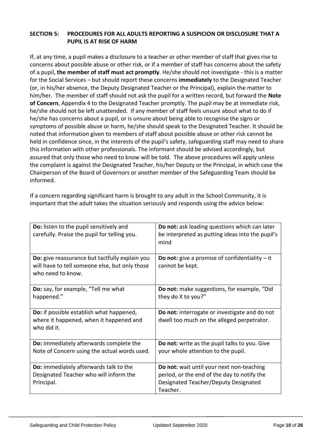#### **SECTION 5: PROCEDURES FOR ALL ADULTS REPORTING A SUSPICION OR DISCLOSURE THAT A PUPIL IS AT RISK OF HARM**

If, at any time, a pupil makes a disclosure to a teacher or other member of staff that gives rise to concerns about possible abuse or other risk, or if a member of staff has concerns about the safety of a pupil, **the member of staff must act promptly**. He/she should not investigate - this is a matter for the Social Services – but should report these concerns **immediately** to the Designated Teacher (or, in his/her absence, the Deputy Designated Teacher or the Principal), explain the matter to him/her. The member of staff should not ask the pupil for a written record, but forward the **Note of Concern**, Appendix 4 to the Designated Teacher promptly. The pupil may be at immediate risk, he/she should not be left unattended. If any member of staff feels unsure about what to do if he/she has concerns about a pupil, or is unsure about being able to recognise the signs or symptoms of possible abuse or harm, he/she should speak to the Designated Teacher. It should be noted that information given to members of staff about possible abuse or other risk cannot be held in confidence since, in the interests of the pupil's safety, safeguarding staff may need to share this information with other professionals. The informant should be advised accordingly, but assured that only those who need to know will be told. The above procedures will apply unless the complaint is against the Designated Teacher, his/her Deputy or the Principal, in which case the Chairperson of the Board of Governors or another member of the Safeguarding Team should be informed.

If a concern regarding significant harm is brought to any adult in the School Community, it is important that the adult takes the situation seriously and responds using the advice below:

| Do: listen to the pupil sensitively and<br>carefully. Praise the pupil for telling you.                               | Do not: ask leading questions which can later<br>be interpreted as putting ideas into the pupil's<br>mind                                    |
|-----------------------------------------------------------------------------------------------------------------------|----------------------------------------------------------------------------------------------------------------------------------------------|
| Do: give reassurance but tactfully explain you<br>will have to tell someone else, but only those<br>who need to know. | <b>Do not:</b> give a promise of confidentiality $-$ it<br>cannot be kept.                                                                   |
| Do: say, for example, "Tell me what<br>happened."                                                                     | Do not: make suggestions, for example, "Did<br>they do X to you?"                                                                            |
| Do: if possible establish what happened,<br>where it happened, when it happened and<br>who did it.                    | Do not: interrogate or investigate and do not<br>dwell too much on the alleged perpetrator.                                                  |
| Do: immediately afterwards complete the<br>Note of Concern using the actual words used.                               | Do not: write as the pupil talks to you. Give<br>your whole attention to the pupil.                                                          |
| Do: immediately afterwards talk to the<br>Designated Teacher who will inform the<br>Principal.                        | Do not: wait until your next non-teaching<br>period, or the end of the day to notify the<br>Designated Teacher/Deputy Designated<br>Teacher. |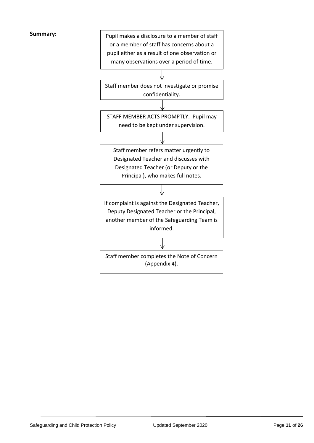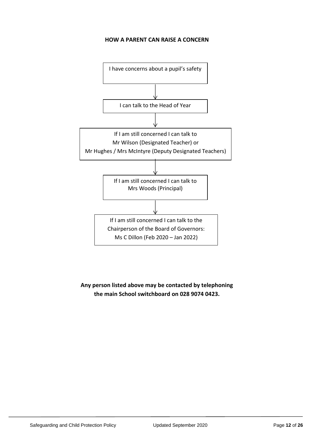#### **HOW A PARENT CAN RAISE A CONCERN**



**Any person listed above may be contacted by telephoning the main School switchboard on 028 9074 0423.**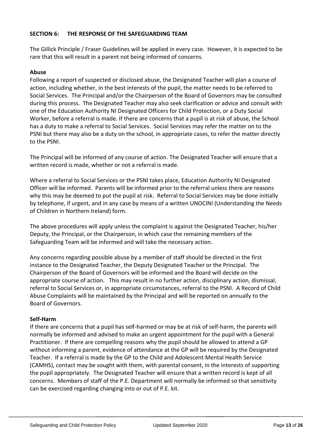#### **SECTION 6: THE RESPONSE OF THE SAFEGUARDING TEAM**

The Gillick Principle / Fraser Guidelines will be applied in every case. However, it is expected to be rare that this will result in a parent not being informed of concerns.

#### **Abuse**

Following a report of suspected or disclosed abuse, the Designated Teacher will plan a course of action, including whether, in the best interests of the pupil, the matter needs to be referred to Social Services. The Principal and/or the Chairperson of the Board of Governors may be consulted during this process. The Designated Teacher may also seek clarification or advice and consult with one of the Education Authority NI Designated Officers for Child Protection, or a Duty Social Worker, before a referral is made. If there are concerns that a pupil is at risk of abuse, the School has a duty to make a referral to Social Services. Social Services may refer the matter on to the PSNI but there may also be a duty on the school, in appropriate cases, to refer the matter directly to the PSNI.

The Principal will be informed of any course of action. The Designated Teacher will ensure that a written record is made, whether or not a referral is made.

Where a referral to Social Services or the PSNI takes place, Education Authority NI Designated Officer will be informed. Parents will be informed prior to the referral unless there are reasons why this may be deemed to put the pupil at risk. Referral to Social Services may be done initially by telephone, if urgent, and in any case by means of a written UNOCINI (Understanding the Needs of Children in Northern Ireland) form.

The above procedures will apply unless the complaint is against the Designated Teacher, his/her Deputy, the Principal, or the Chairperson, in which case the remaining members of the Safeguarding Team will be informed and will take the necessary action.

Any concerns regarding possible abuse by a member of staff should be directed in the first instance to the Designated Teacher, the Deputy Designated Teacher or the Principal. The Chairperson of the Board of Governors will be informed and the Board will decide on the appropriate course of action. This may result in no further action, disciplinary action, dismissal, referral to Social Services or, in appropriate circumstances, referral to the PSNI. A Record of Child Abuse Complaints will be maintained by the Principal and will be reported on annually to the Board of Governors.

#### **Self-Harm**

If there are concerns that a pupil has self-harmed or may be at risk of self-harm, the parents will normally be informed and advised to make an urgent appointment for the pupil with a General Practitioner. If there are compelling reasons why the pupil should be allowed to attend a GP without informing a parent, evidence of attendance at the GP will be required by the Designated Teacher. If a referral is made by the GP to the Child and Adolescent Mental Health Service (CAMHS), contact may be sought with them, with parental consent, in the interests of supporting the pupil appropriately. The Designated Teacher will ensure that a written record is kept of all concerns. Members of staff of the P.E. Department will normally be informed so that sensitivity can be exercised regarding changing into or out of P.E. kit.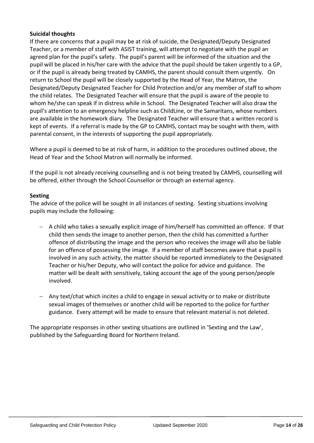#### **Suicidal thoughts**

If there are concerns that a pupil may be at risk of suicide, the Designated/Deputy Designated Teacher, or a member of staff with ASIST training, will attempt to negotiate with the pupil an agreed plan for the pupil's safety. The pupil's parent will be informed of the situation and the pupil will be placed in his/her care with the advice that the pupil should be taken urgently to a GP, or if the pupil is already being treated by CAMHS, the parent should consult them urgently. On return to School the pupil will be closely supported by the Head of Year, the Matron, the Designated/Deputy Designated Teacher for Child Protection and/or any member of staff to whom the child relates. The Designated Teacher will ensure that the pupil is aware of the people to whom he/she can speak if in distress while in School. The Designated Teacher will also draw the pupil's attention to an emergency helpline such as ChildLine, or the Samaritans, whose numbers are available in the homework diary. The Designated Teacher will ensure that a written record is kept of events. If a referral is made by the GP to CAMHS, contact may be sought with them, with parental consent, in the interests of supporting the pupil appropriately.

Where a pupil is deemed to be at risk of harm, in addition to the procedures outlined above, the Head of Year and the School Matron will normally be informed.

If the pupil is not already receiving counselling and is not being treated by CAMHS, counselling will be offered, either through the School Counsellor or through an external agency.

#### **Sexting**

The advice of the police will be sought in all instances of sexting. Sexting situations involving pupils may include the following:

- $-$  A child who takes a sexually explicit image of him/herself has committed an offence. If that child then sends the image to another person, then the child has committed a further offence of distributing the image and the person who receives the image will also be liable for an offence of possessing the image. If a member of staff becomes aware that a pupil is involved in any such activity, the matter should be reported immediately to the Designated Teacher or his/her Deputy, who will contact the police for advice and guidance. The matter will be dealt with sensitively, taking account the age of the young person/people involved.
- Any text/chat which incites a child to engage in sexual activity or to make or distribute sexual images of themselves or another child will be reported to the police for further guidance. Every attempt will be made to ensure that relevant material is not deleted.

The appropriate responses in other sexting situations are outlined in 'Sexting and the Law', published by the Safeguarding Board for Northern Ireland.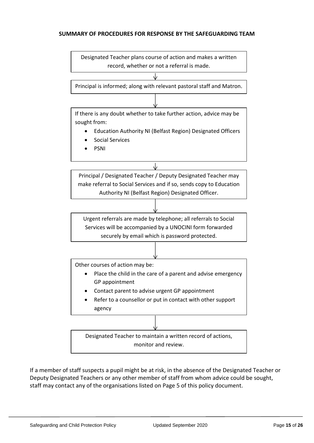#### **SUMMARY OF PROCEDURES FOR RESPONSE BY THE SAFEGUARDING TEAM**



If a member of staff suspects a pupil might be at risk, in the absence of the Designated Teacher or Deputy Designated Teachers or any other member of staff from whom advice could be sought, staff may contact any of the organisations listed on Page 5 of this policy document.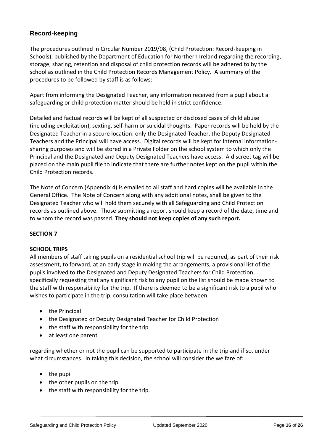### **Record-keeping**

The procedures outlined in Circular Number 2019/08, (Child Protection: Record-keeping in Schools), published by the Department of Education for Northern Ireland regarding the recording, storage, sharing, retention and disposal of child protection records will be adhered to by the school as outlined in the Child Protection Records Management Policy. A summary of the procedures to be followed by staff is as follows:

Apart from informing the Designated Teacher, any information received from a pupil about a safeguarding or child protection matter should be held in strict confidence.

Detailed and factual records will be kept of all suspected or disclosed cases of child abuse (including exploitation), sexting, self-harm or suicidal thoughts. Paper records will be held by the Designated Teacher in a secure location: only the Designated Teacher, the Deputy Designated Teachers and the Principal will have access. Digital records will be kept for internal informationsharing purposes and will be stored in a Private Folder on the school system to which only the Principal and the Designated and Deputy Designated Teachers have access. A discreet tag will be placed on the main pupil file to indicate that there are further notes kept on the pupil within the Child Protection records.

The Note of Concern (Appendix 4) is emailed to all staff and hard copies will be available in the General Office. The Note of Concern along with any additional notes, shall be given to the Designated Teacher who will hold them securely with all Safeguarding and Child Protection records as outlined above. Those submitting a report should keep a record of the date, time and to whom the record was passed. **They should not keep copies of any such report.**

#### **SECTION 7**

#### **SCHOOL TRIPS**

All members of staff taking pupils on a residential school trip will be required, as part of their risk assessment, to forward, at an early stage in making the arrangements, a provisional list of the pupils involved to the Designated and Deputy Designated Teachers for Child Protection, specifically requesting that any significant risk to any pupil on the list should be made known to the staff with responsibility for the trip. If there is deemed to be a significant risk to a pupil who wishes to participate in the trip, consultation will take place between:

- the Principal
- the Designated or Deputy Designated Teacher for Child Protection
- the staff with responsibility for the trip
- at least one parent

regarding whether or not the pupil can be supported to participate in the trip and if so, under what circumstances. In taking this decision, the school will consider the welfare of:

- $\bullet$  the pupil
- the other pupils on the trip
- the staff with responsibility for the trip.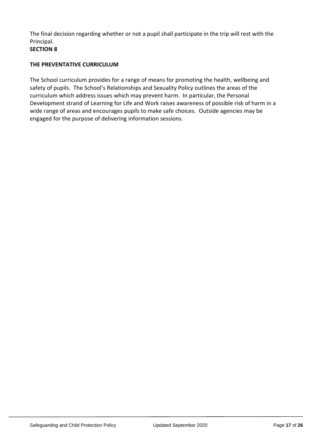The final decision regarding whether or not a pupil shall participate in the trip will rest with the Principal.

#### **SECTION 8**

#### **THE PREVENTATIVE CURRICULUM**

The School curriculum provides for a range of means for promoting the health, wellbeing and safety of pupils. The School's Relationships and Sexuality Policy outlines the areas of the curriculum which address issues which may prevent harm. In particular, the Personal Development strand of Learning for Life and Work raises awareness of possible risk of harm in a wide range of areas and encourages pupils to make safe choices. Outside agencies may be engaged for the purpose of delivering information sessions.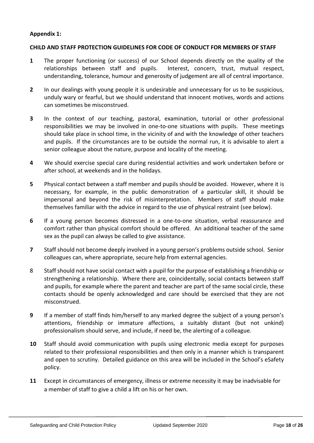#### **Appendix 1:**

#### **CHILD AND STAFF PROTECTION GUIDELINES FOR CODE OF CONDUCT FOR MEMBERS OF STAFF**

- **1** The proper functioning (or success) of our School depends directly on the quality of the relationships between staff and pupils. Interest, concern, trust, mutual respect, understanding, tolerance, humour and generosity of judgement are all of central importance.
- **2** In our dealings with young people it is undesirable and unnecessary for us to be suspicious, unduly wary or fearful, but we should understand that innocent motives, words and actions can sometimes be misconstrued.
- **3** In the context of our teaching, pastoral, examination, tutorial or other professional responsibilities we may be involved in one-to-one situations with pupils. These meetings should take place in school time, in the vicinity of and with the knowledge of other teachers and pupils. If the circumstances are to be outside the normal run, it is advisable to alert a senior colleague about the nature, purpose and locality of the meeting.
- **4** We should exercise special care during residential activities and work undertaken before or after school, at weekends and in the holidays.
- **5** Physical contact between a staff member and pupils should be avoided. However, where it is necessary, for example, in the public demonstration of a particular skill, it should be impersonal and beyond the risk of misinterpretation. Members of staff should make themselves familiar with the advice in regard to the use of physical restraint (see below).
- **6** If a young person becomes distressed in a one-to-one situation, verbal reassurance and comfort rather than physical comfort should be offered. An additional teacher of the same sex as the pupil can always be called to give assistance.
- **7** Staff should not become deeply involved in a young person's problems outside school. Senior colleagues can, where appropriate, secure help from external agencies.
- 8 Staff should not have social contact with a pupil for the purpose of establishing a friendship or strengthening a relationship. Where there are, coincidentally, social contacts between staff and pupils, for example where the parent and teacher are part of the same social circle, these contacts should be openly acknowledged and care should be exercised that they are not misconstrued.
- **9** If a member of staff finds him/herself to any marked degree the subject of a young person's attentions, friendship or immature affections, a suitably distant (but not unkind) professionalism should serve, and include, if need be, the alerting of a colleague.
- **10** Staff should avoid communication with pupils using electronic media except for purposes related to their professional responsibilities and then only in a manner which is transparent and open to scrutiny. Detailed guidance on this area will be included in the School's eSafety policy.
- **11** Except in circumstances of emergency, illness or extreme necessity it may be inadvisable for a member of staff to give a child a lift on his or her own.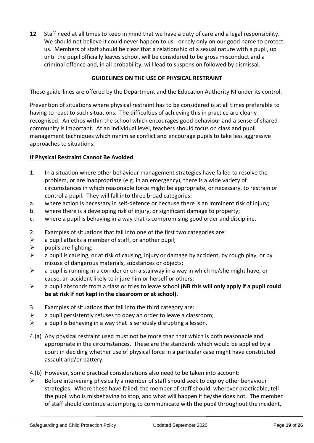**12** Staff need at all times to keep in mind that we have a duty of care and a legal responsibility. We should not believe it could never happen to us - or rely only on our good name to protect us. Members of staff should be clear that a relationship of a sexual nature with a pupil, up until the pupil officially leaves school, will be considered to be gross misconduct and a criminal offence and, in all probability, will lead to suspension followed by dismissal.

#### **GUIDELINES ON THE USE OF PHYSICAL RESTRAINT**

These guide-lines are offered by the Department and the Education Authority NI under its control.

Prevention of situations where physical restraint has to be considered is at all times preferable to having to react to such situations. The difficulties of achieving this in practice are clearly recognised. An ethos within the school which encourages good behaviour and a sense of shared community is important. At an individual level, teachers should focus on class and pupil management techniques which minimise conflict and encourage pupils to take less aggressive approaches to situations.

#### **If Physical Restraint Cannot Be Avoided**

- 1. In a situation where other behaviour management strategies have failed to resolve the problem, or are inappropriate (e.g. in an emergency), there is a wide variety of circumstances in which reasonable force might be appropriate, or necessary, to restrain or control a pupil. They will fall into three broad categories:
- a. where action is necessary in self-defence or because there is an imminent risk of injury;
- b. where there is a developing risk of injury, or significant damage to property;
- c. where a pupil is behaving in a way that is compromising good order and discipline.
- 2. Examples of situations that fall into one of the first two categories are:
- $\triangleright$  a pupil attacks a member of staff, or another pupil;
- $\triangleright$  pupils are fighting;
- $\triangleright$  a pupil is causing, or at risk of causing, injury or damage by accident, by rough play, or by misuse of dangerous materials, substances or objects;
- $\triangleright$  a pupil is running in a corridor or on a stairway in a way in which he/she might have, or cause, an accident likely to injure him or herself or others;
- a pupil absconds from a class or tries to leave school **(NB this will only apply if a pupil could be at risk if not kept in the classroom or at school).**
- 3. Examples of situations that fall into the third category are:
- $\triangleright$  a pupil persistently refuses to obey an order to leave a classroom;
- $\triangleright$  a pupil is behaving in a way that is seriously disrupting a lesson.
- 4.(a) Any physical restraint used must not be more than that which is both reasonable and appropriate in the circumstances. These are the standards which would be applied by a court in deciding whether use of physical force in a particular case might have constituted assault and/or battery.
- 4.(b) However, some practical considerations also need to be taken into account:
- $\triangleright$  Before intervening physically a member of staff should seek to deploy other behaviour strategies. Where these have failed, the member of staff should, wherever practicable, tell the pupil who is misbehaving to stop, and what will happen if he/she does not. The member of staff should continue attempting to communicate with the pupil throughout the incident,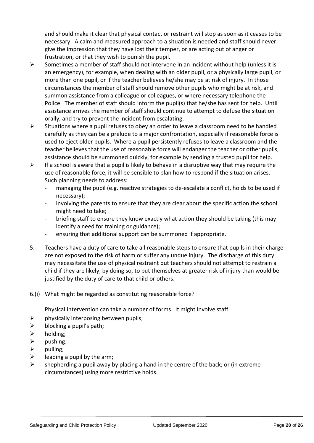and should make it clear that physical contact or restraint will stop as soon as it ceases to be necessary. A calm and measured approach to a situation is needed and staff should never give the impression that they have lost their temper, or are acting out of anger or frustration, or that they wish to punish the pupil.

- $\triangleright$  Sometimes a member of staff should not intervene in an incident without help (unless it is an emergency), for example, when dealing with an older pupil, or a physically large pupil, or more than one pupil, or if the teacher believes he/she may be at risk of injury. In those circumstances the member of staff should remove other pupils who might be at risk, and summon assistance from a colleague or colleagues, or where necessary telephone the Police. The member of staff should inform the pupil(s) that he/she has sent for help. Until assistance arrives the member of staff should continue to attempt to defuse the situation orally, and try to prevent the incident from escalating.
- $\triangleright$  Situations where a pupil refuses to obey an order to leave a classroom need to be handled carefully as they can be a prelude to a major confrontation, especially if reasonable force is used to eject older pupils. Where a pupil persistently refuses to leave a classroom and the teacher believes that the use of reasonable force will endanger the teacher or other pupils, assistance should be summoned quickly, for example by sending a trusted pupil for help.
- $\triangleright$  If a school is aware that a pupil is likely to behave in a disruptive way that may require the use of reasonable force, it will be sensible to plan how to respond if the situation arises. Such planning needs to address:
	- managing the pupil (e.g. reactive strategies to de-escalate a conflict, holds to be used if necessary);
	- involving the parents to ensure that they are clear about the specific action the school might need to take;
	- briefing staff to ensure they know exactly what action they should be taking (this may identify a need for training or guidance);
	- ensuring that additional support can be summoned if appropriate.
- 5. Teachers have a duty of care to take all reasonable steps to ensure that pupils in their charge are not exposed to the risk of harm or suffer any undue injury. The discharge of this duty may necessitate the use of physical restraint but teachers should not attempt to restrain a child if they are likely, by doing so, to put themselves at greater risk of injury than would be justified by the duty of care to that child or others.
- 6.(i) What might be regarded as constituting reasonable force?

Physical intervention can take a number of forms. It might involve staff:

- $\triangleright$  physically interposing between pupils;
- $\triangleright$  blocking a pupil's path;
- $\triangleright$  holding;
- $\triangleright$  pushing;
- $\triangleright$  pulling:
- $\triangleright$  leading a pupil by the arm;
- $\triangleright$  shepherding a pupil away by placing a hand in the centre of the back; or (in extreme circumstances) using more restrictive holds.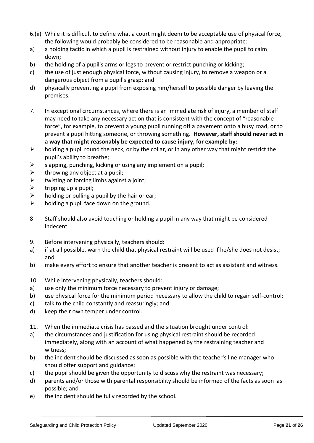- 6.(ii) While it is difficult to define what a court might deem to be acceptable use of physical force, the following would probably be considered to be reasonable and appropriate:
- a) a holding tactic in which a pupil is restrained without injury to enable the pupil to calm down;
- b) the holding of a pupil's arms or legs to prevent or restrict punching or kicking;
- c) the use of just enough physical force, without causing injury, to remove a weapon or a dangerous object from a pupil's grasp; and
- d) physically preventing a pupil from exposing him/herself to possible danger by leaving the premises.
- 7. In exceptional circumstances, where there is an immediate risk of injury, a member of staff may need to take any necessary action that is consistent with the concept of "reasonable force", for example, to prevent a young pupil running off a pavement onto a busy road, or to prevent a pupil hitting someone, or throwing something. **However, staff should never act in a way that might reasonably be expected to cause injury, for example by:**
- $\triangleright$  holding a pupil round the neck, or by the collar, or in any other way that might restrict the pupil's ability to breathe;
- $\triangleright$  slapping, punching, kicking or using any implement on a pupil;
- $\triangleright$  throwing any object at a pupil;
- $\triangleright$  twisting or forcing limbs against a joint;
- $\triangleright$  tripping up a pupil;
- $\triangleright$  holding or pulling a pupil by the hair or ear;
- $\triangleright$  holding a pupil face down on the ground.
- 8 Staff should also avoid touching or holding a pupil in any way that might be considered indecent.
- 9. Before intervening physically, teachers should:
- a) if at all possible, warn the child that physical restraint will be used if he/she does not desist; and
- b) make every effort to ensure that another teacher is present to act as assistant and witness.
- 10. While intervening physically, teachers should:
- a) use only the minimum force necessary to prevent injury or damage;
- b) use physical force for the minimum period necessary to allow the child to regain self-control;
- c) talk to the child constantly and reassuringly; and
- d) keep their own temper under control.
- 11. When the immediate crisis has passed and the situation brought under control:
- a) the circumstances and justification for using physical restraint should be recorded immediately, along with an account of what happened by the restraining teacher and witness;
- b) the incident should be discussed as soon as possible with the teacher's line manager who should offer support and guidance;
- c) the pupil should be given the opportunity to discuss why the restraint was necessary;
- d) parents and/or those with parental responsibility should be informed of the facts as soon as possible; and
- e) the incident should be fully recorded by the school.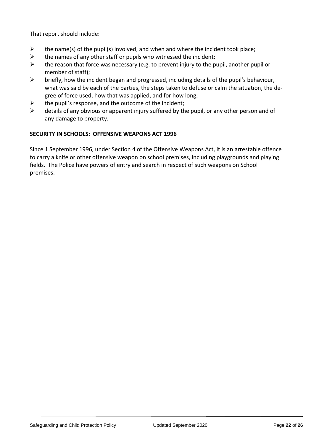That report should include:

- $\triangleright$  the name(s) of the pupil(s) involved, and when and where the incident took place;
- $\triangleright$  the names of any other staff or pupils who witnessed the incident;
- $\triangleright$  the reason that force was necessary (e.g. to prevent injury to the pupil, another pupil or member of staff);
- $\triangleright$  briefly, how the incident began and progressed, including details of the pupil's behaviour, what was said by each of the parties, the steps taken to defuse or calm the situation, the degree of force used, how that was applied, and for how long;
- $\triangleright$  the pupil's response, and the outcome of the incident;
- $\triangleright$  details of any obvious or apparent injury suffered by the pupil, or any other person and of any damage to property.

#### **SECURITY IN SCHOOLS: OFFENSIVE WEAPONS ACT 1996**

Since 1 September 1996, under Section 4 of the Offensive Weapons Act, it is an arrestable offence to carry a knife or other offensive weapon on school premises, including playgrounds and playing fields. The Police have powers of entry and search in respect of such weapons on School premises.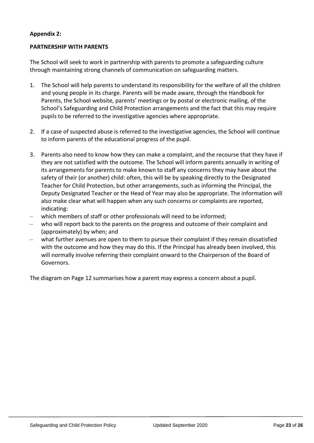#### **Appendix 2:**

#### **PARTNERSHIP WITH PARENTS**

The School will seek to work in partnership with parents to promote a safeguarding culture through maintaining strong channels of communication on safeguarding matters.

- 1. The School will help parents to understand its responsibility for the welfare of all the children and young people in its charge. Parents will be made aware, through the Handbook for Parents, the School website, parents' meetings or by postal or electronic mailing, of the School's Safeguarding and Child Protection arrangements and the fact that this may require pupils to be referred to the investigative agencies where appropriate.
- 2. If a case of suspected abuse is referred to the investigative agencies, the School will continue to inform parents of the educational progress of the pupil.
- 3. Parents also need to know how they can make a complaint, and the recourse that they have if they are not satisfied with the outcome. The School will inform parents annually in writing of its arrangements for parents to make known to staff any concerns they may have about the safety of their (or another) child: often, this will be by speaking directly to the Designated Teacher for Child Protection, but other arrangements, such as informing the Principal, the Deputy Designated Teacher or the Head of Year may also be appropriate. The information will also make clear what will happen when any such concerns or complaints are reported, indicating:
- which members of staff or other professionals will need to be informed;
- who will report back to the parents on the progress and outcome of their complaint and (approximately) by when; and
- what further avenues are open to them to pursue their complaint if they remain dissatisfied with the outcome and how they may do this. If the Principal has already been involved, this will normally involve referring their complaint onward to the Chairperson of the Board of Governors.

The diagram on Page 12 summarises how a parent may express a concern about a pupil.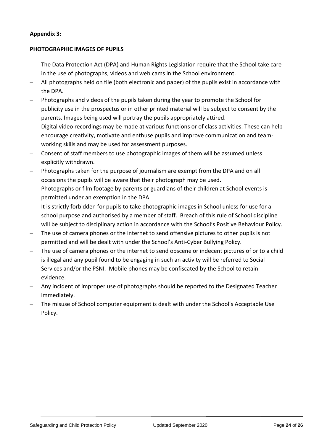#### **Appendix 3:**

#### **PHOTOGRAPHIC IMAGES OF PUPILS**

- The Data Protection Act (DPA) and Human Rights Legislation require that the School take care in the use of photographs, videos and web cams in the School environment.
- All photographs held on file (both electronic and paper) of the pupils exist in accordance with the DPA.
- Photographs and videos of the pupils taken during the year to promote the School for publicity use in the prospectus or in other printed material will be subject to consent by the parents. Images being used will portray the pupils appropriately attired.
- Digital video recordings may be made at various functions or of class activities. These can help encourage creativity, motivate and enthuse pupils and improve communication and teamworking skills and may be used for assessment purposes.
- Consent of staff members to use photographic images of them will be assumed unless explicitly withdrawn.
- Photographs taken for the purpose of journalism are exempt from the DPA and on all occasions the pupils will be aware that their photograph may be used.
- Photographs or film footage by parents or guardians of their children at School events is permitted under an exemption in the DPA.
- It is strictly forbidden for pupils to take photographic images in School unless for use for a school purpose and authorised by a member of staff. Breach of this rule of School discipline will be subject to disciplinary action in accordance with the School's Positive Behaviour Policy.
- The use of camera phones or the internet to send offensive pictures to other pupils is not permitted and will be dealt with under the School's Anti-Cyber Bullying Policy.
- The use of camera phones or the internet to send obscene or indecent pictures of or to a child is illegal and any pupil found to be engaging in such an activity will be referred to Social Services and/or the PSNI. Mobile phones may be confiscated by the School to retain evidence.
- Any incident of improper use of photographs should be reported to the Designated Teacher immediately.
- The misuse of School computer equipment is dealt with under the School's Acceptable Use Policy.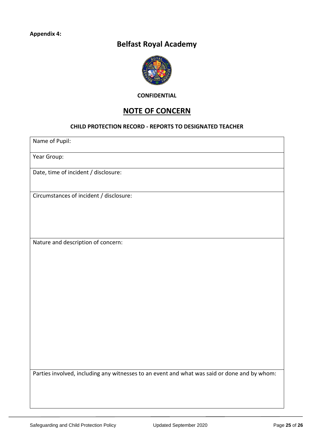## **Belfast Royal Academy**



**CONFIDENTIAL**

## **NOTE OF CONCERN**

#### **CHILD PROTECTION RECORD - REPORTS TO DESIGNATED TEACHER**

Name of Pupil:

Year Group:

Date, time of incident / disclosure:

Circumstances of incident / disclosure:

Nature and description of concern:

Parties involved, including any witnesses to an event and what was said or done and by whom: